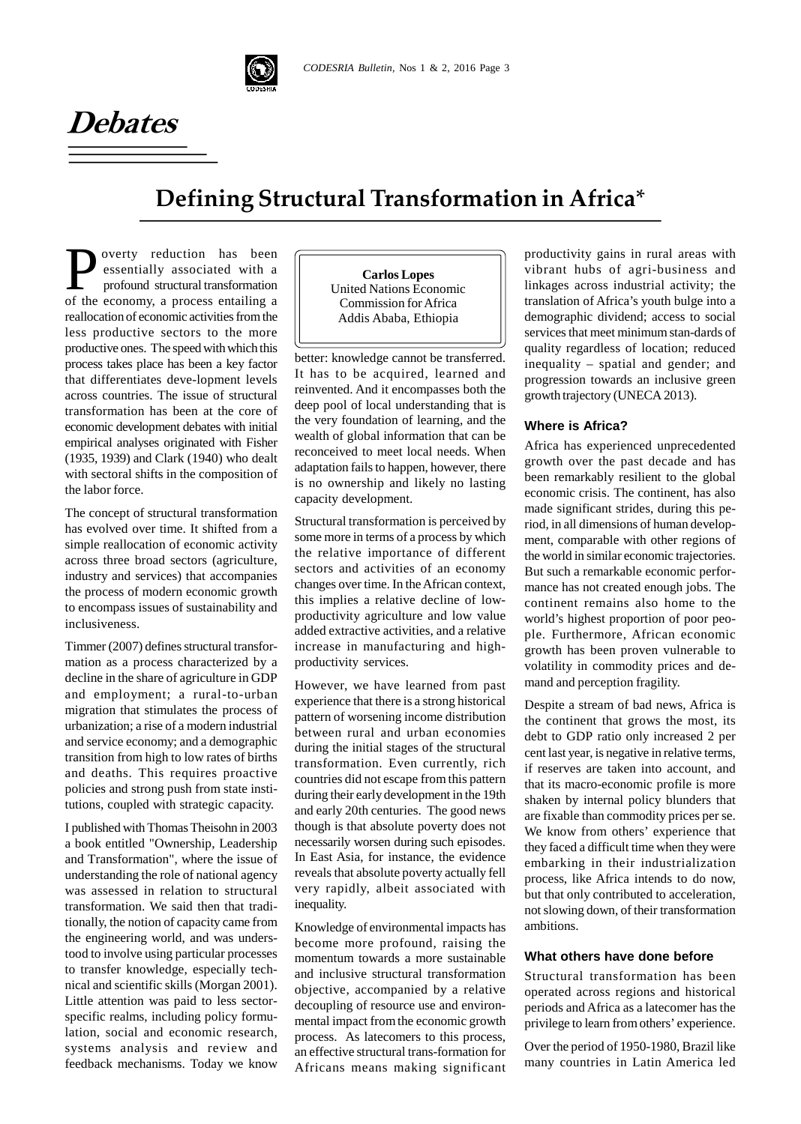

# **Defining Structural Transformation in Africa**\*

 $\sum$  overty reduction has been<br>essentially associated with a<br>profound structural transformation<br>of the economy a process entailing a overty reduction has been essentially associated with a profound structural transformation of the economy, a process entailing a reallocation of economic activities from the less productive sectors to the more productive ones. The speed with which this process takes place has been a key factor that differentiates deve-lopment levels across countries. The issue of structural transformation has been at the core of economic development debates with initial empirical analyses originated with Fisher (1935, 1939) and Clark (1940) who dealt with sectoral shifts in the composition of the labor force.

**Debates**

The concept of structural transformation has evolved over time. It shifted from a simple reallocation of economic activity across three broad sectors (agriculture, industry and services) that accompanies the process of modern economic growth to encompass issues of sustainability and inclusiveness.

Timmer (2007) defines structural transformation as a process characterized by a decline in the share of agriculture in GDP and employment; a rural-to-urban migration that stimulates the process of urbanization; a rise of a modern industrial and service economy; and a demographic transition from high to low rates of births and deaths. This requires proactive policies and strong push from state institutions, coupled with strategic capacity.

I published with Thomas Theisohn in 2003 a book entitled "Ownership, Leadership and Transformation", where the issue of understanding the role of national agency was assessed in relation to structural transformation. We said then that traditionally, the notion of capacity came from the engineering world, and was understood to involve using particular processes to transfer knowledge, especially technical and scientific skills (Morgan 2001). Little attention was paid to less sector specific realms, including policy formulation, social and economic research, systems analysis and review and feedback mechanisms. Today we know

**Carlos Lopes** United Nations Economic Commission for Africa Addis Ababa, Ethiopia

better: knowledge cannot be transferred. It has to be acquired, learned and reinvented. And it encompasses both the deep pool of local understanding that is the very foundation of learning, and the wealth of global information that can be reconceived to meet local needs. When adaptation fails to happen, however, there is no ownership and likely no lasting capacity development.

Structural transformation is perceived by some more in terms of a process by which the relative importance of different sectors and activities of an economy changes over time. In the African context, this implies a relative decline of lowproductivity agriculture and low value added extractive activities, and a relative increase in manufacturing and highproductivity services.

However, we have learned from past experience that there is a strong historical pattern of worsening income distribution between rural and urban economies during the initial stages of the structural transformation. Even currently, rich countries did not escape from this pattern during their early development in the 19th and early 20th centuries. The good news though is that absolute poverty does not necessarily worsen during such episodes. In East Asia, for instance, the evidence reveals that absolute poverty actually fell very rapidly, albeit associated with inequality.

Knowledge of environmental impacts has become more profound, raising the momentum towards a more sustainable and inclusive structural transformation objective, accompanied by a relative decoupling of resource use and environmental impact from the economic growth process. As latecomers to this process, an effective structural trans-formation for Africans means making significant

productivity gains in rural areas with vibrant hubs of agri-business and linkages across industrial activity; the translation of Africa's youth bulge into a demographic dividend; access to social services that meet minimum stan-dards of quality regardless of location; reduced inequality – spatial and gender; and progression towards an inclusive green growth trajectory (UNECA 2013).

#### **Where is Africa?**

Africa has experienced unprecedented growth over the past decade and has been remarkably resilient to the global economic crisis. The continent, has also made significant strides, during this period, in all dimensions of human development, comparable with other regions of the world in similar economic trajectories. But such a remarkable economic performance has not created enough jobs. The continent remains also home to the world's highest proportion of poor people. Furthermore, African economic growth has been proven vulnerable to volatility in commodity prices and demand and perception fragility.

Despite a stream of bad news, Africa is the continent that grows the most, its debt to GDP ratio only increased 2 per cent last year, is negative in relative terms, if reserves are taken into account, and that its macro-economic profile is more shaken by internal policy blunders that are fixable than commodity prices per se. We know from others' experience that they faced a difficult time when they were embarking in their industrialization process, like Africa intends to do now, but that only contributed to acceleration, not slowing down, of their transformation ambitions.

#### **What others have done before**

Structural transformation has been operated across regions and historical periods and Africa as a latecomer has the privilege to learn from others' experience.

Over the period of 1950-1980, Brazil like many countries in Latin America led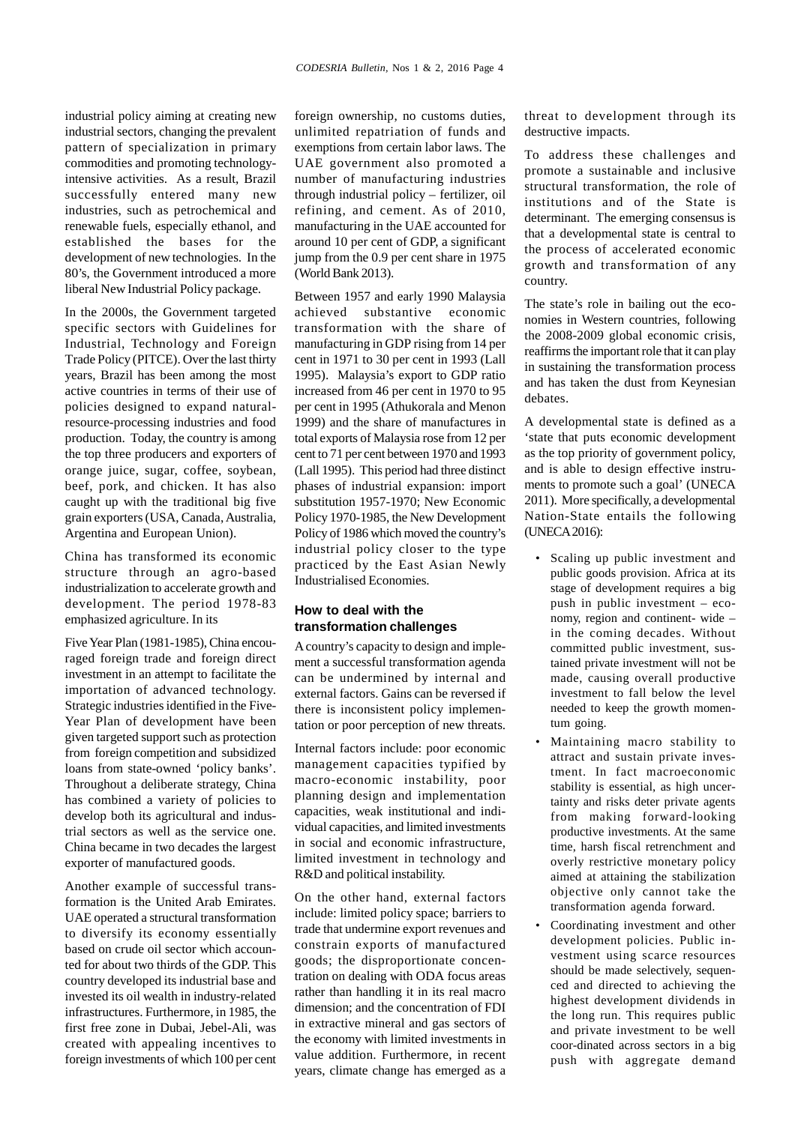industrial policy aiming at creating new industrial sectors, changing the prevalent pattern of specialization in primary commodities and promoting technologyintensive activities. As a result, Brazil successfully entered many new industries, such as petrochemical and renewable fuels, especially ethanol, and established the bases for the development of new technologies. In the 80's, the Government introduced a more liberal New Industrial Policy package.

In the 2000s, the Government targeted specific sectors with Guidelines for Industrial, Technology and Foreign Trade Policy (PITCE). Over the last thirty years, Brazil has been among the most active countries in terms of their use of policies designed to expand naturalresource-processing industries and food production. Today, the country is among the top three producers and exporters of orange juice, sugar, coffee, soybean, beef, pork, and chicken. It has also caught up with the traditional big five grain exporters(USA, Canada, Australia, Argentina and European Union).

China has transformed its economic structure through an agro-based industrialization to accelerate growth and development. The period 1978-83 emphasized agriculture. In its

Five Year Plan (1981-1985), China encouraged foreign trade and foreign direct investment in an attempt to facilitate the importation of advanced technology. Strategic industries identified in the Five- Year Plan of development have been given targeted support such as protection from foreign competition and subsidized loans from state-owned 'policy banks'. Throughout a deliberate strategy, China has combined a variety of policies to develop both its agricultural and industrial sectors as well as the service one. China became in two decades the largest exporter of manufactured goods.

Another example of successful transformation is the United Arab Emirates. UAE operated a structural transformation to diversify its economy essentially based on crude oil sector which accounted for about two thirds of the GDP. This country developed its industrial base and invested its oil wealth in industry-related infrastructures. Furthermore, in 1985, the first free zone in Dubai, Jebel-Ali, was created with appealing incentives to foreign investments of which 100 per cent foreign ownership, no customs duties, unlimited repatriation of funds and exemptions from certain labor laws. The UAE government also promoted a number of manufacturing industries through industrial policy – fertilizer, oil refining, and cement. As of 2010, manufacturing in the UAE accounted for around 10 per cent of GDP, a significant jump from the 0.9 per cent share in 1975 (World Bank 2013).

Between 1957 and early 1990 Malaysia achieved substantive economic transformation with the share of manufacturing in GDP rising from 14 per cent in 1971 to 30 per cent in 1993 (Lall 1995). Malaysia's export to GDP ratio increased from 46 per cent in 1970 to 95 per cent in 1995 (Athukorala and Menon 1999) and the share of manufactures in total exports of Malaysia rose from 12 per cent to 71 per cent between 1970 and 1993 (Lall 1995). This period had three distinct phases of industrial expansion: import substitution 1957-1970; New Economic Policy 1970-1985, the New Development Policy of 1986 which moved the country's industrial policy closer to the type practiced by the East Asian Newly Industrialised Economies.

#### **How to deal with the transformation challenges**

Acountry's capacity to design and implement a successful transformation agenda can be undermined by internal and external factors. Gains can be reversed if there is inconsistent policy implementation or poor perception of new threats.

Internal factors include: poor economic management capacities typified by macro-economic instability, poor planning design and implementation capacities, weak institutional and individual capacities, and limited investments in social and economic infrastructure, limited investment in technology and R&D and political instability.

On the other hand, external factors include: limited policy space; barriers to trade that undermine export revenues and constrain exports of manufactured goods; the disproportionate concentration on dealing with ODA focus areas rather than handling it in its real macro dimension; and the concentration of FDI in extractive mineral and gas sectors of the economy with limited investments in value addition. Furthermore, in recent years, climate change has emerged as a

threat to development through its destructive impacts.

To address these challenges and promote a sustainable and inclusive structural transformation, the role of institutions and of the State is determinant. The emerging consensus is that a developmental state is central to the process of accelerated economic growth and transformation of any country.

The state's role in bailing out the economies in Western countries, following the 2008-2009 global economic crisis, reaffirms the important role that it can play in sustaining the transformation process and has taken the dust from Keynesian debates.

A developmental state is defined as a 'state that puts economic development as the top priority of government policy, and is able to design effective instruments to promote such a goal' (UNECA 2011). More specifically, a developmental Nation-State entails the following (UNECA 2016):

- Scaling up public investment and public goods provision. Africa at its stage of development requires a big push in public investment – eco nomy, region and continent- wide – in the coming decades. Without committed public investment, sustained private investment will not be made, causing overall productive investment to fall below the level needed to keep the growth momentum going.
- Maintaining macro stability to attract and sustain private investment. In fact macroeconomic stability is essential, as high uncertainty and risks deter private agents from making forward-looking productive investments. At the same time, harsh fiscal retrenchment and overly restrictive monetary policy aimed at attaining the stabilization objective only cannot take the transformation agenda forward.
- Coordinating investment and other development policies. Public investment using scarce resources should be made selectively, sequen ced and directed to achieving the highest development dividends in the long run. This requires public and private investment to be well coor-dinated across sectors in a big push with aggregate demand